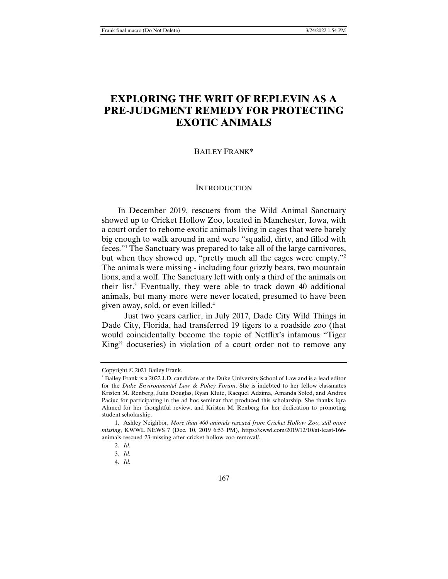# **EXPLORING THE WRIT OF REPLEVIN AS A PRE-JUDGMENT REMEDY FOR PROTECTING EXOTIC ANIMALS**

#### BAILEY FRANK\*

#### **INTRODUCTION**

In December 2019, rescuers from the Wild Animal Sanctuary showed up to Cricket Hollow Zoo, located in Manchester, Iowa, with a court order to rehome exotic animals living in cages that were barely big enough to walk around in and were "squalid, dirty, and filled with feces."1 The Sanctuary was prepared to take all of the large carnivores, but when they showed up, "pretty much all the cages were empty."2 The animals were missing - including four grizzly bears, two mountain lions, and a wolf. The Sanctuary left with only a third of the animals on their list.<sup>3</sup> Eventually, they were able to track down 40 additional animals, but many more were never located, presumed to have been given away, sold, or even killed.4

 Just two years earlier, in July 2017, Dade City Wild Things in Dade City, Florida, had transferred 19 tigers to a roadside zoo (that would coincidentally become the topic of Netflix's infamous "Tiger King" docuseries) in violation of a court order not to remove any

Copyright © 2021 Bailey Frank.

<sup>\*</sup> Bailey Frank is a 2022 J.D. candidate at the Duke University School of Law and is a lead editor for the *Duke Environmental Law & Policy Forum*. She is indebted to her fellow classmates Kristen M. Renberg, Julia Douglas, Ryan Klute, Racquel Adzima, Amanda Soled, and Andres Paciuc for participating in the ad hoc seminar that produced this scholarship. She thanks Iqra Ahmed for her thoughtful review, and Kristen M. Renberg for her dedication to promoting student scholarship.

<sup>1.</sup> Ashley Neighbor, *More than 400 animals rescued from Cricket Hollow Zoo, still more missing*, KWWL NEWS 7 (Dec. 10, 2019 6:53 PM), https://kwwl.com/2019/12/10/at-least-166 animals-rescued-23-missing-after-cricket-hollow-zoo-removal/.

<sup>2.</sup> *Id.* 

<sup>3.</sup> *Id.*

<sup>4.</sup> *Id.*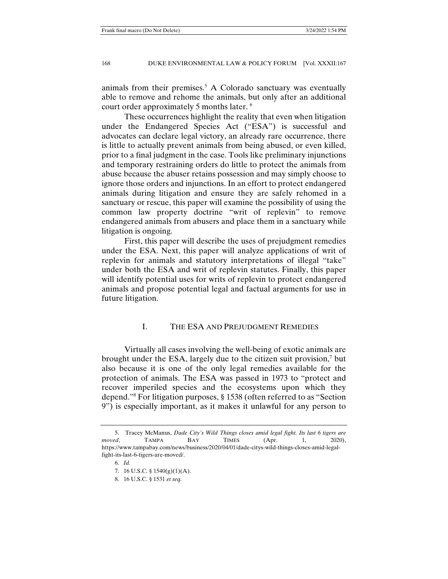animals from their premises.<sup>5</sup> A Colorado sanctuary was eventually able to remove and rehome the animals, but only after an additional court order approximately 5 months later.<sup>6</sup>

 These occurrences highlight the reality that even when litigation under the Endangered Species Act ("ESA") is successful and advocates can declare legal victory, an already rare occurrence, there is little to actually prevent animals from being abused, or even killed, prior to a final judgment in the case. Tools like preliminary injunctions and temporary restraining orders do little to protect the animals from abuse because the abuser retains possession and may simply choose to ignore those orders and injunctions. In an effort to protect endangered animals during litigation and ensure they are safely rehomed in a sanctuary or rescue, this paper will examine the possibility of using the common law property doctrine "writ of replevin" to remove endangered animals from abusers and place them in a sanctuary while litigation is ongoing.

 First, this paper will describe the uses of prejudgment remedies under the ESA. Next, this paper will analyze applications of writ of replevin for animals and statutory interpretations of illegal "take" under both the ESA and writ of replevin statutes. Finally, this paper will identify potential uses for writs of replevin to protect endangered animals and propose potential legal and factual arguments for use in future litigation.

## I. THE ESA AND PREJUDGMENT REMEDIES

 Virtually all cases involving the well-being of exotic animals are brought under the ESA, largely due to the citizen suit provision,<sup>7</sup> but also because it is one of the only legal remedies available for the protection of animals. The ESA was passed in 1973 to "protect and recover imperiled species and the ecosystems upon which they depend."8 For litigation purposes, § 1538 (often referred to as "Section 9") is especially important, as it makes it unlawful for any person to

 <sup>5.</sup> Tracey McManus, *Dade City's Wild Things closes amid legal fight. Its last 6 tigers are moved*, TAMPA BAY TIMES (Apr. 1, 2020), https://www.tampabay.com/news/business/2020/04/01/dade-citys-wild-things-closes-amid-legalfight-its-last-6-tigers-are-moved/.

 <sup>6.</sup> *Id.* 

 <sup>7. 16</sup> U.S.C. § 1540(g)(1)(A).

 <sup>8. 16</sup> U.S.C. § 1531 *et seq.*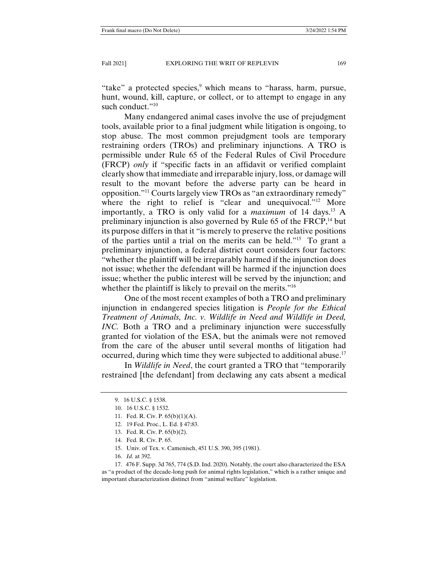"take" a protected species,<sup>9</sup> which means to "harass, harm, pursue, hunt, wound, kill, capture, or collect, or to attempt to engage in any such conduct."<sup>10</sup>

 Many endangered animal cases involve the use of prejudgment tools, available prior to a final judgment while litigation is ongoing, to stop abuse. The most common prejudgment tools are temporary restraining orders (TROs) and preliminary injunctions. A TRO is permissible under Rule 65 of the Federal Rules of Civil Procedure (FRCP) *only* if "specific facts in an affidavit or verified complaint clearly show that immediate and irreparable injury, loss, or damage will result to the movant before the adverse party can be heard in opposition."11 Courts largely view TROs as "an extraordinary remedy" where the right to relief is "clear and unequivocal."<sup>12</sup> More importantly, a TRO is only valid for a *maximum* of 14 days.<sup>13</sup> A preliminary injunction is also governed by Rule  $65$  of the FRCP,<sup>14</sup> but its purpose differs in that it "is merely to preserve the relative positions of the parties until a trial on the merits can be held."15 To grant a preliminary injunction, a federal district court considers four factors: "whether the plaintiff will be irreparably harmed if the injunction does not issue; whether the defendant will be harmed if the injunction does issue; whether the public interest will be served by the injunction; and whether the plaintiff is likely to prevail on the merits."<sup>16</sup>

 One of the most recent examples of both a TRO and preliminary injunction in endangered species litigation is *People for the Ethical Treatment of Animals, Inc. v. Wildlife in Need and Wildlife in Deed, INC.* Both a TRO and a preliminary injunction were successfully granted for violation of the ESA, but the animals were not removed from the care of the abuser until several months of litigation had occurred, during which time they were subjected to additional abuse.<sup>17</sup>

 In *Wildlife in Need*, the court granted a TRO that "temporarily restrained [the defendant] from declawing any cats absent a medical

- 12. 19 Fed. Proc., L. Ed. § 47:83.
- 13. Fed. R. Civ. P. 65(b)(2).
- 14. Fed. R. Civ. P. 65.
- 15. Univ. of Tex. v. Camenisch, 451 U.S. 390, 395 (1981).
- 16. *Id.* at 392.

 <sup>9. 16</sup> U.S.C. § 1538.

 <sup>10. 16</sup> U.S.C. § 1532.

 <sup>11.</sup> Fed. R. Civ. P. 65(b)(1)(A).

 <sup>17. 476</sup> F. Supp. 3d 765, 774 (S.D. Ind. 2020). Notably, the court also characterized the ESA as "a product of the decade-long push for animal rights legislation," which is a rather unique and important characterization distinct from "animal welfare" legislation.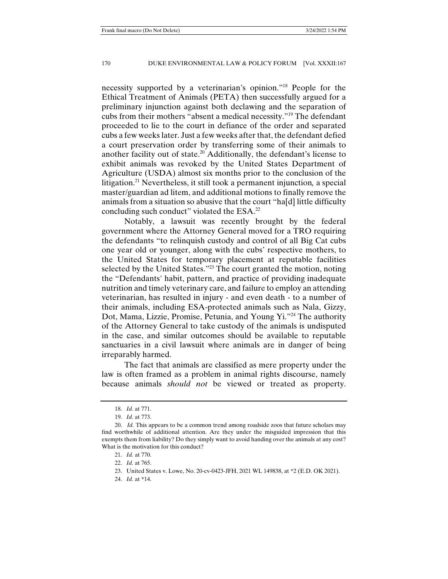necessity supported by a veterinarian's opinion."18 People for the Ethical Treatment of Animals (PETA) then successfully argued for a preliminary injunction against both declawing and the separation of cubs from their mothers "absent a medical necessity."19 The defendant proceeded to lie to the court in defiance of the order and separated cubs a few weeks later. Just a few weeks after that, the defendant defied a court preservation order by transferring some of their animals to another facility out of state.20 Additionally, the defendant's license to exhibit animals was revoked by the United States Department of Agriculture (USDA) almost six months prior to the conclusion of the litigation.21 Nevertheless, it still took a permanent injunction*,* a special master/guardian ad litem, and additional motions to finally remove the animals from a situation so abusive that the court "ha[d] little difficulty concluding such conduct" violated the ESA.22

 Notably, a lawsuit was recently brought by the federal government where the Attorney General moved for a TRO requiring the defendants "to relinquish custody and control of all Big Cat cubs one year old or younger, along with the cubs' respective mothers, to the United States for temporary placement at reputable facilities selected by the United States."23 The court granted the motion, noting the "Defendants' habit, pattern, and practice of providing inadequate nutrition and timely veterinary care, and failure to employ an attending veterinarian, has resulted in injury - and even death - to a number of their animals, including ESA-protected animals such as Nala, Gizzy, Dot, Mama, Lizzie, Promise, Petunia, and Young Yi."24 The authority of the Attorney General to take custody of the animals is undisputed in the case, and similar outcomes should be available to reputable sanctuaries in a civil lawsuit where animals are in danger of being irreparably harmed.

 The fact that animals are classified as mere property under the law is often framed as a problem in animal rights discourse, namely because animals *should not* be viewed or treated as property.

 <sup>18.</sup> *Id.* at 771.

 <sup>19.</sup> *Id.* at 773.

 <sup>20.</sup> *Id.* This appears to be a common trend among roadside zoos that future scholars may find worthwhile of additional attention. Are they under the misguided impression that this exempts them from liability? Do they simply want to avoid handing over the animals at any cost? What is the motivation for this conduct?

 <sup>21.</sup> *Id.* at 770.

 <sup>22.</sup> *Id.* at 765.

 <sup>23.</sup> United States v. Lowe, No. 20-cv-0423-JFH, 2021 WL 149838, at \*2 (E.D. OK 2021).

 <sup>24.</sup> *Id.* at \*14.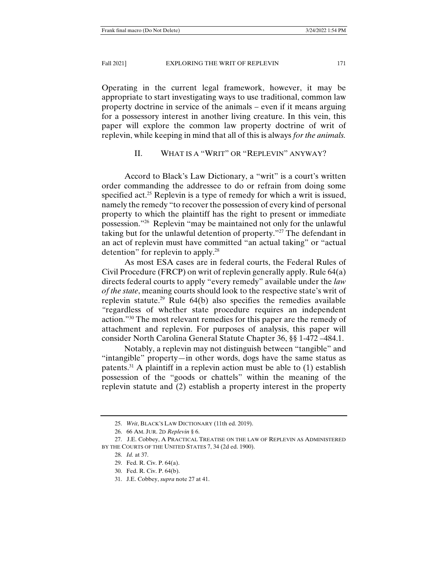Operating in the current legal framework, however, it may be appropriate to start investigating ways to use traditional, common law property doctrine in service of the animals – even if it means arguing for a possessory interest in another living creature. In this vein, this paper will explore the common law property doctrine of writ of replevin, while keeping in mind that all of this is always *for the animals.* 

#### II. WHAT IS A "WRIT" OR "REPLEVIN" ANYWAY?

 Accord to Black's Law Dictionary, a "writ" is a court's written order commanding the addressee to do or refrain from doing some specified act.<sup>25</sup> Replevin is a type of remedy for which a writ is issued, namely the remedy "to recover the possession of every kind of personal property to which the plaintiff has the right to present or immediate possession."26 Replevin "may be maintained not only for the unlawful taking but for the unlawful detention of property."27 The defendant in an act of replevin must have committed "an actual taking" or "actual detention" for replevin to apply.<sup>28</sup>

 As most ESA cases are in federal courts, the Federal Rules of Civil Procedure (FRCP) on writ of replevin generally apply. Rule 64(a) directs federal courts to apply "every remedy" available under the *law of the state*, meaning courts should look to the respective state's writ of replevin statute.<sup>29</sup> Rule  $64(b)$  also specifies the remedies available *"*regardless of whether state procedure requires an independent action."30 The most relevant remedies for this paper are the remedy of attachment and replevin. For purposes of analysis, this paper will consider North Carolina General Statute Chapter 36, §§ 1-472 –484.1.

 Notably, a replevin may not distinguish between "tangible" and "intangible" property—in other words, dogs have the same status as patents.<sup>31</sup> A plaintiff in a replevin action must be able to  $(1)$  establish possession of the "goods or chattels" within the meaning of the replevin statute and (2) establish a property interest in the property

 <sup>25.</sup> *Writ*, BLACK'S LAW DICTIONARY (11th ed. 2019).

 <sup>26. 66</sup> AM. JUR. 2D *Replevin* § 6.

 <sup>27.</sup> J.E. Cobbey, A PRACTICAL TREATISE ON THE LAW OF REPLEVIN AS ADMINISTERED BY THE COURTS OF THE UNITED STATES 7, 34 (2d ed. 1900).

 <sup>28.</sup> *Id.* at 37.

 <sup>29.</sup> Fed. R. Civ. P. 64(a).

 <sup>30.</sup> Fed. R. Civ. P. 64(b).

 <sup>31.</sup> J.E. Cobbey, *supra* note 27 at 41.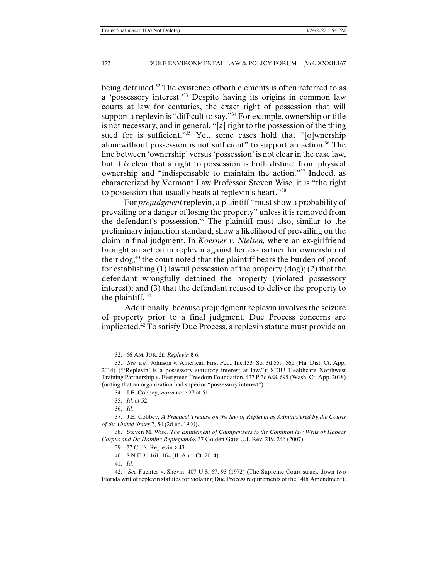being detained.<sup>32</sup> The existence of both elements is often referred to as a 'possessory interest.'33 Despite having its origins in common law courts at law for centuries, the exact right of possession that will support a replevin is "difficult to say."<sup>34</sup> For example, ownership or title is not necessary, and in general, "[a] right to the possession of the thing sued for is sufficient."<sup>35</sup> Yet, some cases hold that "[o]wnership alonewithout possession is not sufficient" to support an action.<sup>36</sup> The line between 'ownership' versus 'possession' is not clear in the case law, but it *is* clear that a right to possession is both distinct from physical ownership and "indispensable to maintain the action."37 Indeed, as characterized by Vermont Law Professor Steven Wise, it is "the right to possession that usually beats at replevin's heart."38

 For *prejudgment* replevin, a plaintiff "must show a probability of prevailing or a danger of losing the property" unless it is removed from the defendant's possession.39 The plaintiff must also, similar to the preliminary injunction standard, show a likelihood of prevailing on the claim in final judgment. In *Koerner v. Nielsen,* where an ex-girlfriend brought an action in replevin against her ex-partner for ownership of their dog,40 the court noted that the plaintiff bears the burden of proof for establishing (1) lawful possession of the property (dog); (2) that the defendant wrongfully detained the property (violated possessory interest); and (3) that the defendant refused to deliver the property to the plaintiff.  $41$ 

 Additionally, because prejudgment replevin involves the seizure of property prior to a final judgment, Due Process concerns are implicated.42 To satisfy Due Process, a replevin statute must provide an

 <sup>32. 66</sup> AM. JUR. 2D *Replevin* § 6.

 <sup>33.</sup> *See, e.g.*, Johnson v. American First Fed., Inc.133 So. 3d 559, 561 (Fla. Dist. Ct. App. 2014) ("'Replevin' is a possessory statutory interest at law."); SEIU Healthcare Northwest Training Partnership v. Evergreen Freedom Foundation, 427 P.3d 688, 695 (Wash. Ct. App. 2018) (noting that an organization had superior "possessory interest").

 <sup>34.</sup> J.E. Cobbey, *supra* note 27 at 51.

 <sup>35.</sup> *Id.* at 52.

 <sup>36.</sup> *Id.*

 <sup>37.</sup> J.E. Cobbey, *A Practical Treatise on the law of Replevin as Administered by the Courts of the United States* 7, 54 (2d ed. 1900).

 <sup>38.</sup> Steven M. Wise, *The Entitlement of Chimpanzees to the Common law Writs of Habeas Corpus and De Homine Replegiando*, 37 Golden Gate U.L.Rev. 219, 246 (2007).

 <sup>39. 77</sup> C.J.S. Replevin § 43.

 <sup>40. 8</sup> N.E.3d 161, 164 (Il. App. Ct. 2014).

 <sup>41.</sup> *Id.* 

 <sup>42.</sup> *See* Fuentes v. Shevin, 407 U.S. 67, 93 (1972) (The Supreme Court struck down two Florida writ of replevin statutes for violating Due Process requirements of the 14th Amendment).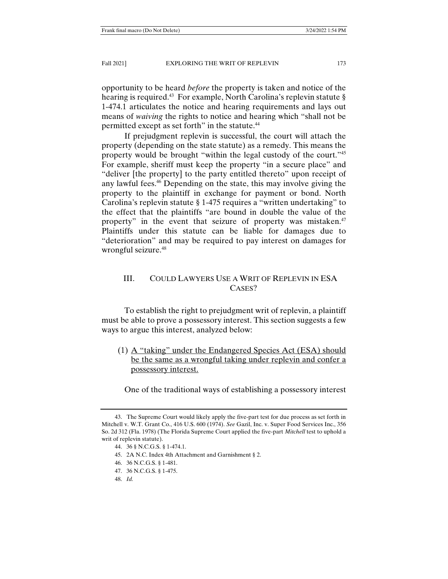opportunity to be heard *before* the property is taken and notice of the hearing is required.<sup>43</sup> For example, North Carolina's replevin statute § 1-474.1 articulates the notice and hearing requirements and lays out means of *waiving* the rights to notice and hearing which "shall not be permitted except as set forth" in the statute.<sup>44</sup>

 If prejudgment replevin is successful, the court will attach the property (depending on the state statute) as a remedy. This means the property would be brought "within the legal custody of the court."45 For example, sheriff must keep the property "in a secure place" and "deliver [the property] to the party entitled thereto" upon receipt of any lawful fees.<sup>46</sup> Depending on the state, this may involve giving the property to the plaintiff in exchange for payment or bond. North Carolina's replevin statute § 1-475 requires a "written undertaking" to the effect that the plaintiffs "are bound in double the value of the property" in the event that seizure of property was mistaken.<sup>47</sup> Plaintiffs under this statute can be liable for damages due to "deterioration" and may be required to pay interest on damages for wrongful seizure.<sup>48</sup>

# III. COULD LAWYERS USE A WRIT OF REPLEVIN IN ESA CASES?

 To establish the right to prejudgment writ of replevin, a plaintiff must be able to prove a possessory interest. This section suggests a few ways to argue this interest, analyzed below:

(1) A "taking" under the Endangered Species Act (ESA) should be the same as a wrongful taking under replevin and confer a possessory interest.

One of the traditional ways of establishing a possessory interest

45. 2A N.C. Index 4th Attachment and Garnishment § 2.

- 47. 36 N.C.G.S. § 1-475.
- 48. *Id.*

 <sup>43.</sup> The Supreme Court would likely apply the five-part test for due process as set forth in Mitchell v. W.T. Grant Co., 416 U.S. 600 (1974). *See* Gazil, Inc. v. Super Food Services Inc., 356 So. 2d 312 (Fla. 1978) (The Florida Supreme Court applied the five-part *Mitchell* test to uphold a writ of replevin statute).

 <sup>44. 36 §</sup> N.C.G.S. § 1-474.1.

 <sup>46. 36</sup> N.C.G.S. § 1-481.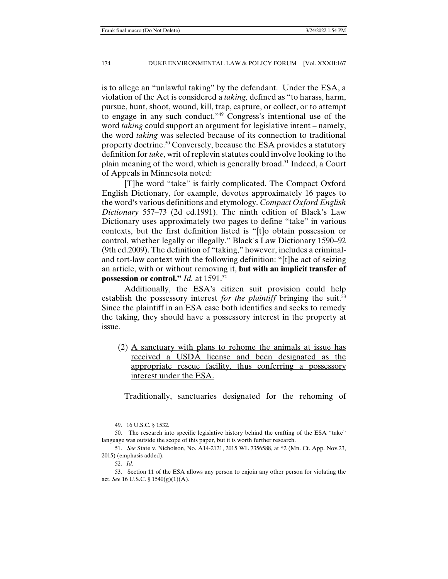is to allege an "unlawful taking" by the defendant. Under the ESA, a violation of the Act is considered a *taking,* defined as "to harass, harm, pursue, hunt, shoot, wound, kill, trap, capture, or collect, or to attempt to engage in any such conduct."49 Congress's intentional use of the word *taking* could support an argument for legislative intent – namely, the word *taking* was selected because of its connection to traditional property doctrine.50 Conversely, because the ESA provides a statutory definition for *take*, writ of replevin statutes could involve looking to the plain meaning of the word, which is generally broad.51 Indeed, a Court of Appeals in Minnesota noted:

 [T]he word "take" is fairly complicated. The Compact Oxford English Dictionary, for example, devotes approximately 16 pages to the word's various definitions and etymology. *Compact Oxford English Dictionary* 557–73 (2d ed.1991). The ninth edition of Black's Law Dictionary uses approximately two pages to define "take" in various contexts, but the first definition listed is "[t]o obtain possession or control, whether legally or illegally." Black's Law Dictionary 1590–92 (9th ed.2009). The definition of "taking," however, includes a criminaland tort-law context with the following definition: "[t]he act of seizing an article, with or without removing it, **but with an implicit transfer of possession or control."** *Id.* at 1591.52

 Additionally, the ESA's citizen suit provision could help establish the possessory interest *for the plaintiff* bringing the suit.<sup>53</sup> Since the plaintiff in an ESA case both identifies and seeks to remedy the taking, they should have a possessory interest in the property at issue.

(2) A sanctuary with plans to rehome the animals at issue has received a USDA license and been designated as the appropriate rescue facility, thus conferring a possessory interest under the ESA.

Traditionally, sanctuaries designated for the rehoming of

 <sup>49. 16</sup> U.S.C. § 1532.

 <sup>50.</sup> The research into specific legislative history behind the crafting of the ESA "take" language was outside the scope of this paper, but it is worth further research.

 <sup>51.</sup> *See* State v. Nicholson, No. A14-2121, 2015 WL 7356588, at \*2 (Mn. Ct. App. Nov.23, 2015) (emphasis added).

 <sup>52.</sup> *Id.*

 <sup>53.</sup> Section 11 of the ESA allows any person to enjoin any other person for violating the act. *See* 16 U.S.C. § 1540(g)(1)(A).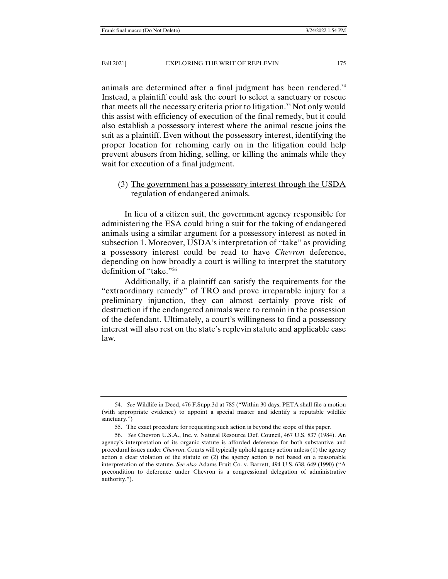animals are determined after a final judgment has been rendered.<sup>54</sup> Instead, a plaintiff could ask the court to select a sanctuary or rescue that meets all the necessary criteria prior to litigation.<sup>55</sup> Not only would this assist with efficiency of execution of the final remedy, but it could also establish a possessory interest where the animal rescue joins the suit as a plaintiff. Even without the possessory interest, identifying the proper location for rehoming early on in the litigation could help prevent abusers from hiding, selling, or killing the animals while they wait for execution of a final judgment.

## (3) The government has a possessory interest through the USDA regulation of endangered animals.

 In lieu of a citizen suit, the government agency responsible for administering the ESA could bring a suit for the taking of endangered animals using a similar argument for a possessory interest as noted in subsection 1. Moreover, USDA's interpretation of "take" as providing a possessory interest could be read to have *Chevron* deference, depending on how broadly a court is willing to interpret the statutory definition of "take."56

 Additionally, if a plaintiff can satisfy the requirements for the "extraordinary remedy" of TRO and prove irreparable injury for a preliminary injunction, they can almost certainly prove risk of destruction if the endangered animals were to remain in the possession of the defendant. Ultimately, a court's willingness to find a possessory interest will also rest on the state's replevin statute and applicable case law.

 <sup>54.</sup> *See* Wildlife in Deed, 476 F.Supp.3d at 785 ("Within 30 days, PETA shall file a motion (with appropriate evidence) to appoint a special master and identify a reputable wildlife sanctuary.")

 <sup>55.</sup> The exact procedure for requesting such action is beyond the scope of this paper.

 <sup>56.</sup> *See* Chevron U.S.A., Inc. v. Natural Resource Def. Council, 467 U.S. 837 (1984). An agency's interpretation of its organic statute is afforded deference for both substantive and procedural issues under *Chevron*. Courts will typically uphold agency action unless (1) the agency action a clear violation of the statute or (2) the agency action is not based on a reasonable interpretation of the statute. *See also* Adams Fruit Co. v. Barrett, 494 U.S. 638, 649 (1990) ("A precondition to deference under Chevron is a congressional delegation of administrative authority.").